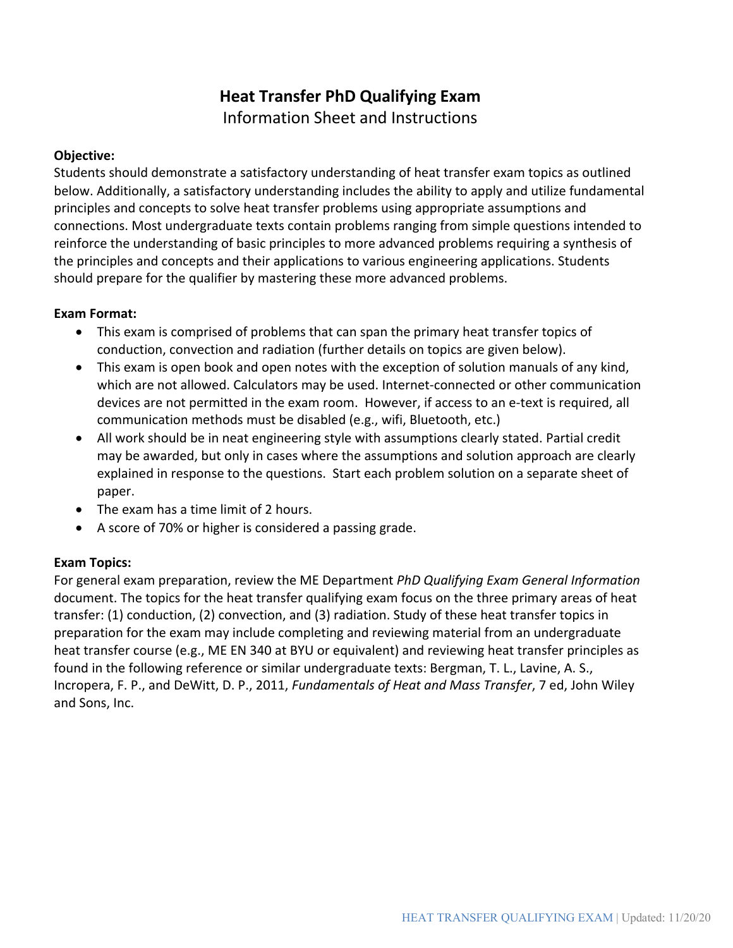# **Heat Transfer PhD Qualifying Exam**

Information Sheet and Instructions

#### **Objective:**

Students should demonstrate a satisfactory understanding of heat transfer exam topics as outlined below. Additionally, a satisfactory understanding includes the ability to apply and utilize fundamental principles and concepts to solve heat transfer problems using appropriate assumptions and connections. Most undergraduate texts contain problems ranging from simple questions intended to reinforce the understanding of basic principles to more advanced problems requiring a synthesis of the principles and concepts and their applications to various engineering applications. Students should prepare for the qualifier by mastering these more advanced problems.

### **Exam Format:**

- This exam is comprised of problems that can span the primary heat transfer topics of conduction, convection and radiation (further details on topics are given below).
- This exam is open book and open notes with the exception of solution manuals of any kind, which are not allowed. Calculators may be used. Internet-connected or other communication devices are not permitted in the exam room. However, if access to an e-text is required, all communication methods must be disabled (e.g., wifi, Bluetooth, etc.)
- All work should be in neat engineering style with assumptions clearly stated. Partial credit may be awarded, but only in cases where the assumptions and solution approach are clearly explained in response to the questions. Start each problem solution on a separate sheet of paper.
- The exam has a time limit of 2 hours.
- A score of 70% or higher is considered a passing grade.

### **Exam Topics:**

For general exam preparation, review the ME Department *PhD Qualifying Exam General Information* document. The topics for the heat transfer qualifying exam focus on the three primary areas of heat transfer: (1) conduction, (2) convection, and (3) radiation. Study of these heat transfer topics in preparation for the exam may include completing and reviewing material from an undergraduate heat transfer course (e.g., ME EN 340 at BYU or equivalent) and reviewing heat transfer principles as found in the following reference or similar undergraduate texts: Bergman, T. L., Lavine, A. S., Incropera, F. P., and DeWitt, D. P., 2011, *Fundamentals of Heat and Mass Transfer*, 7 ed, John Wiley and Sons, Inc.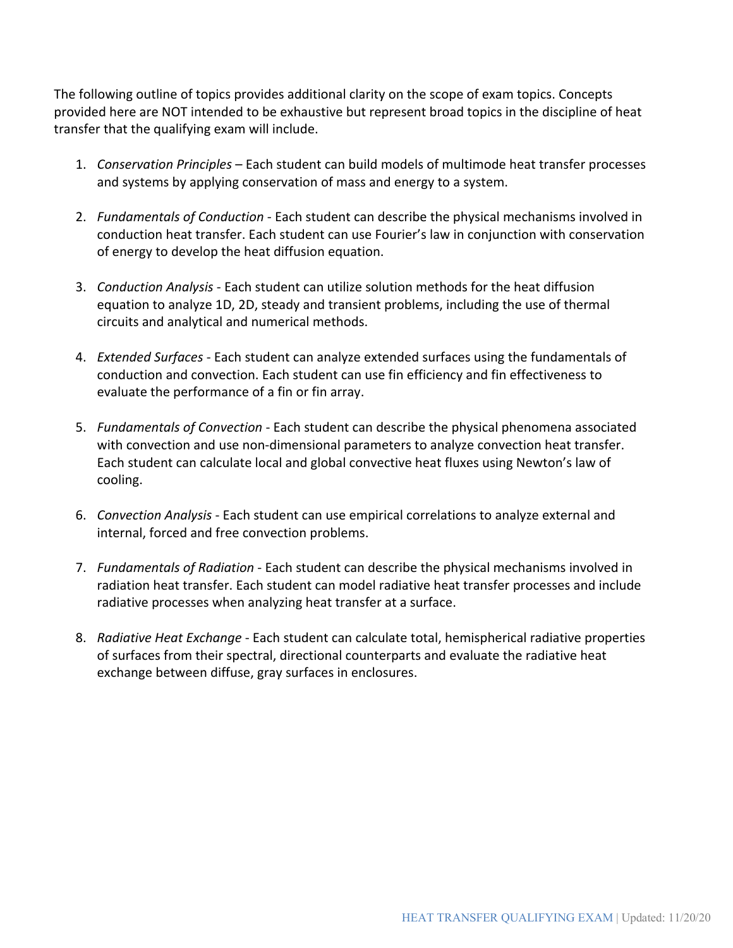The following outline of topics provides additional clarity on the scope of exam topics. Concepts provided here are NOT intended to be exhaustive but represent broad topics in the discipline of heat transfer that the qualifying exam will include.

- 1. *Conservation Principles* Each student can build models of multimode heat transfer processes and systems by applying conservation of mass and energy to a system.
- 2. *Fundamentals of Conduction* Each student can describe the physical mechanisms involved in conduction heat transfer. Each student can use Fourier's law in conjunction with conservation of energy to develop the heat diffusion equation.
- 3. *Conduction Analysis* Each student can utilize solution methods for the heat diffusion equation to analyze 1D, 2D, steady and transient problems, including the use of thermal circuits and analytical and numerical methods.
- 4. *Extended Surfaces* Each student can analyze extended surfaces using the fundamentals of conduction and convection. Each student can use fin efficiency and fin effectiveness to evaluate the performance of a fin or fin array.
- 5. *Fundamentals of Convection* Each student can describe the physical phenomena associated with convection and use non-dimensional parameters to analyze convection heat transfer. Each student can calculate local and global convective heat fluxes using Newton's law of cooling.
- 6. *Convection Analysis* Each student can use empirical correlations to analyze external and internal, forced and free convection problems.
- 7. *Fundamentals of Radiation* Each student can describe the physical mechanisms involved in radiation heat transfer. Each student can model radiative heat transfer processes and include radiative processes when analyzing heat transfer at a surface.
- 8. *Radiative Heat Exchange* Each student can calculate total, hemispherical radiative properties of surfaces from their spectral, directional counterparts and evaluate the radiative heat exchange between diffuse, gray surfaces in enclosures.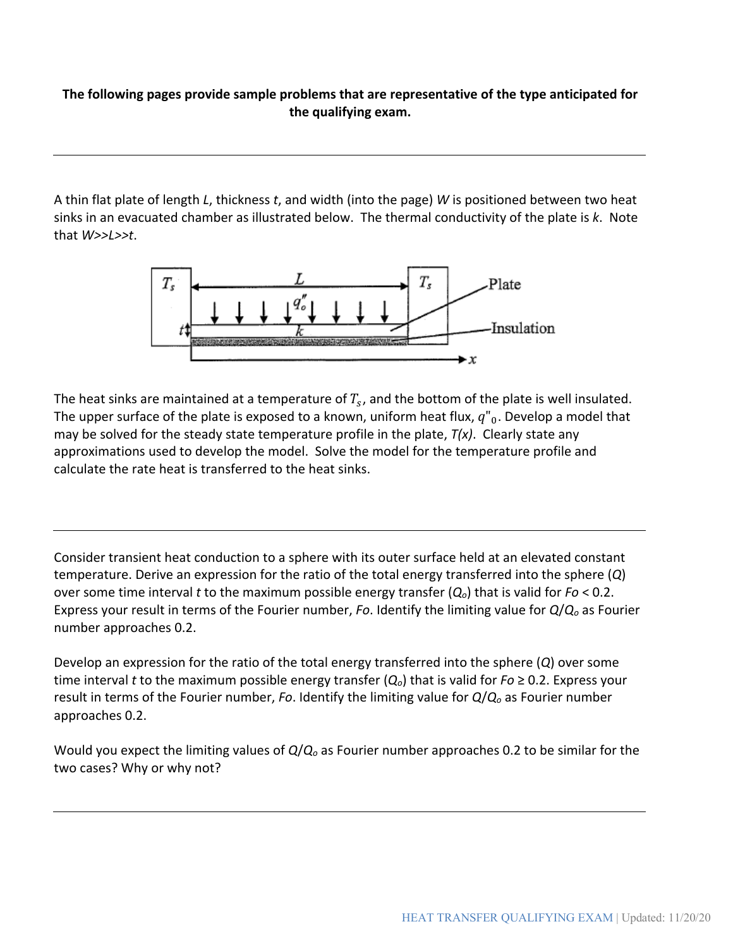## **The following pages provide sample problems that are representative of the type anticipated for the qualifying exam.**

A thin flat plate of length *L*, thickness *t*, and width (into the page) *W* is positioned between two heat sinks in an evacuated chamber as illustrated below. The thermal conductivity of the plate is *k*. Note that *W>>L>>t*.



The heat sinks are maintained at a temperature of  $T_s$ , and the bottom of the plate is well insulated. The upper surface of the plate is exposed to a known, uniform heat flux,  $q''_0$ . Develop a model that may be solved for the steady state temperature profile in the plate, *T(x)*. Clearly state any approximations used to develop the model. Solve the model for the temperature profile and calculate the rate heat is transferred to the heat sinks.

Consider transient heat conduction to a sphere with its outer surface held at an elevated constant temperature. Derive an expression for the ratio of the total energy transferred into the sphere (*Q*) over some time interval *t* to the maximum possible energy transfer (*Qo*) that is valid for *Fo* < 0.2. Express your result in terms of the Fourier number, *Fo*. Identify the limiting value for *Q*/*Qo* as Fourier number approaches 0.2.

Develop an expression for the ratio of the total energy transferred into the sphere (*Q*) over some time interval *t* to the maximum possible energy transfer (*Qo*) that is valid for *Fo* ≥ 0.2. Express your result in terms of the Fourier number, *Fo*. Identify the limiting value for *Q*/*Qo* as Fourier number approaches 0.2.

Would you expect the limiting values of *Q*/*Qo* as Fourier number approaches 0.2 to be similar for the two cases? Why or why not?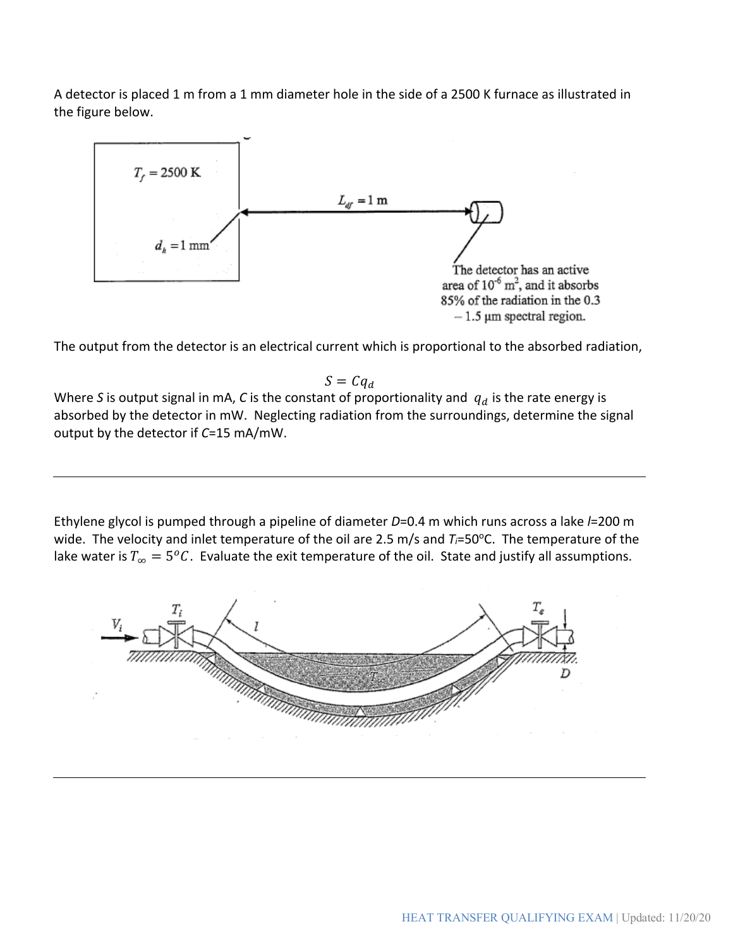A detector is placed 1 m from a 1 mm diameter hole in the side of a 2500 K furnace as illustrated in the figure below.



The output from the detector is an electrical current which is proportional to the absorbed radiation,

 $S = C q_d$ 

Where *S* is output signal in mA, *C* is the constant of proportionality and  $q_d$  is the rate energy is absorbed by the detector in mW. Neglecting radiation from the surroundings, determine the signal output by the detector if *C*=15 mA/mW.

Ethylene glycol is pumped through a pipeline of diameter *D*=0.4 m which runs across a lake *l*=200 m wide. The velocity and inlet temperature of the oil are 2.5 m/s and  $T_i = 50^{\circ}$ C. The temperature of the lake water is  $T_{\infty} = 5^{o}C$ . Evaluate the exit temperature of the oil. State and justify all assumptions.

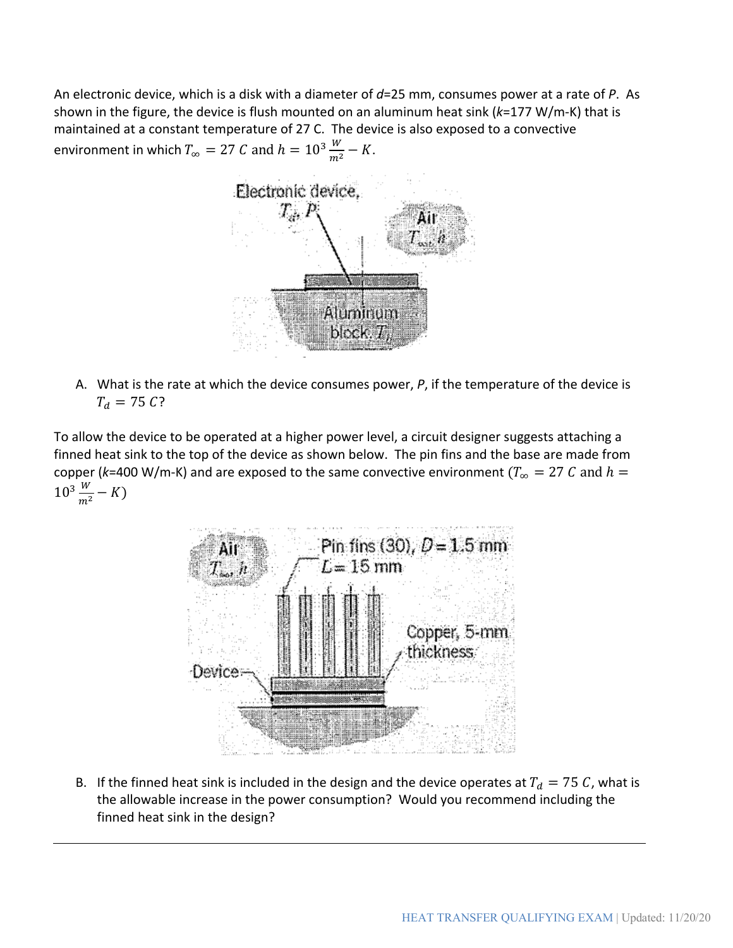An electronic device, which is a disk with a diameter of *d*=25 mm, consumes power at a rate of *P*. As shown in the figure, the device is flush mounted on an aluminum heat sink (*k*=177 W/m-K) that is maintained at a constant temperature of 27 C. The device is also exposed to a convective environment in which  $T_{\infty} = 27$   $C$  and  $h = 10^3 \frac{W}{m^2} - K$ .



A. What is the rate at which the device consumes power, *P*, if the temperature of the device is  $T_d = 75 C$ ?

To allow the device to be operated at a higher power level, a circuit designer suggests attaching a finned heat sink to the top of the device as shown below. The pin fins and the base are made from copper ( $k=400$  W/m-K) and are exposed to the same convective environment ( $T_{\infty} = 27 C$  and  $h =$  $10^3 \frac{W}{m^2} - K$ 



B. If the finned heat sink is included in the design and the device operates at  $T_d = 75 C$ , what is the allowable increase in the power consumption? Would you recommend including the finned heat sink in the design?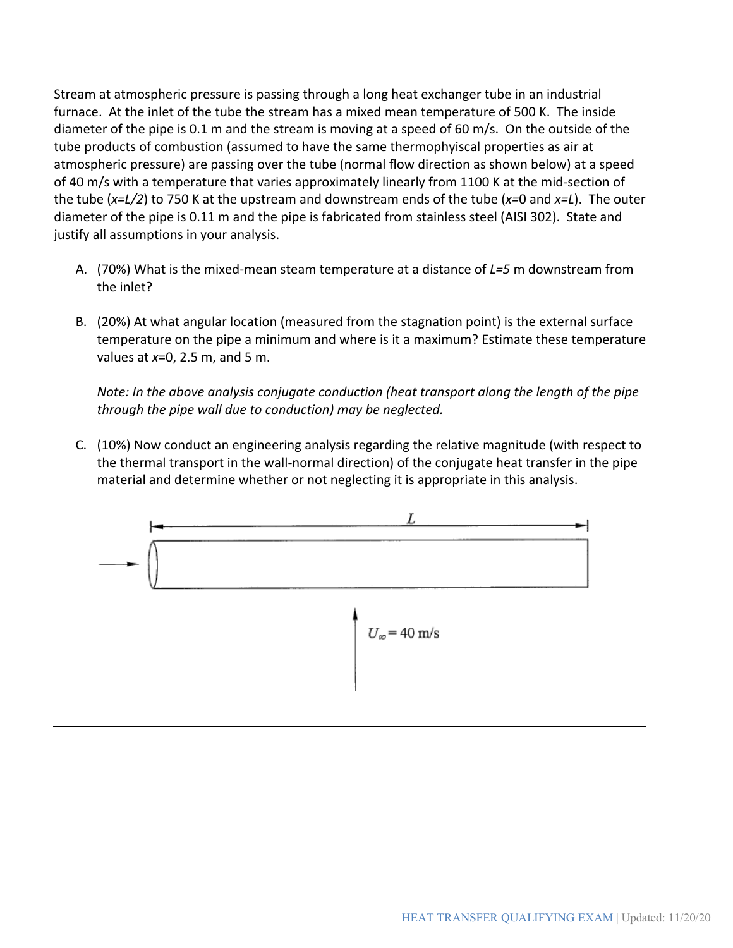Stream at atmospheric pressure is passing through a long heat exchanger tube in an industrial furnace. At the inlet of the tube the stream has a mixed mean temperature of 500 K. The inside diameter of the pipe is 0.1 m and the stream is moving at a speed of 60 m/s. On the outside of the tube products of combustion (assumed to have the same thermophyiscal properties as air at atmospheric pressure) are passing over the tube (normal flow direction as shown below) at a speed of 40 m/s with a temperature that varies approximately linearly from 1100 K at the mid-section of the tube (*x=L/2*) to 750 K at the upstream and downstream ends of the tube (*x=*0 and *x=L*). The outer diameter of the pipe is 0.11 m and the pipe is fabricated from stainless steel (AISI 302). State and justify all assumptions in your analysis.

- A. (70%) What is the mixed-mean steam temperature at a distance of *L=5* m downstream from the inlet?
- B. (20%) At what angular location (measured from the stagnation point) is the external surface temperature on the pipe a minimum and where is it a maximum? Estimate these temperature values at *x*=0, 2.5 m, and 5 m.

*Note: In the above analysis conjugate conduction (heat transport along the length of the pipe through the pipe wall due to conduction) may be neglected.*

C. (10%) Now conduct an engineering analysis regarding the relative magnitude (with respect to the thermal transport in the wall-normal direction) of the conjugate heat transfer in the pipe material and determine whether or not neglecting it is appropriate in this analysis.

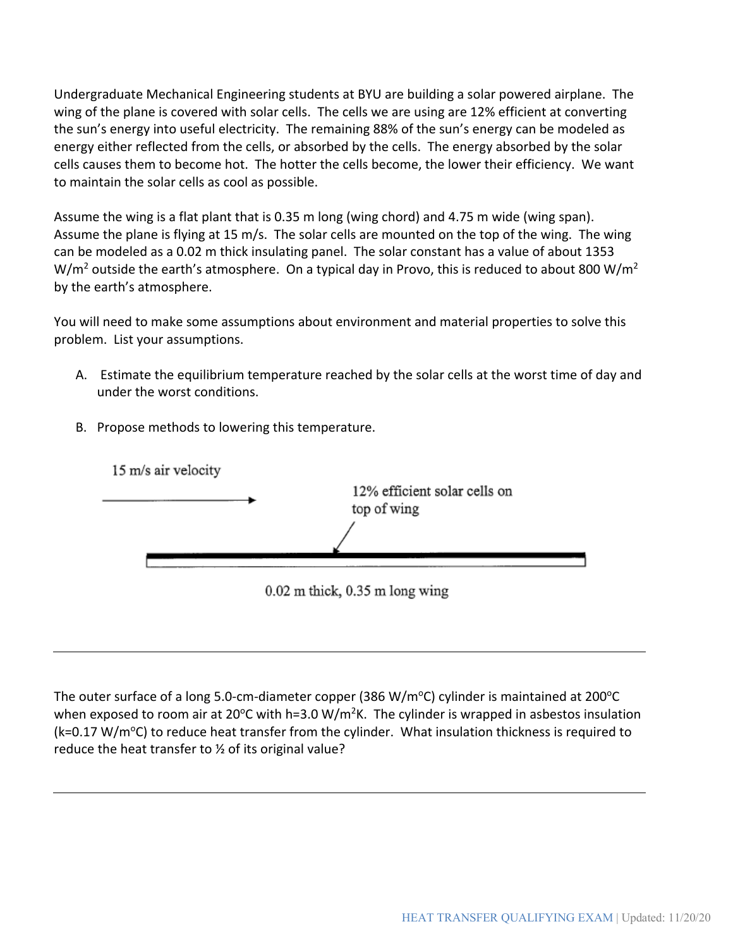Undergraduate Mechanical Engineering students at BYU are building a solar powered airplane. The wing of the plane is covered with solar cells. The cells we are using are 12% efficient at converting the sun's energy into useful electricity. The remaining 88% of the sun's energy can be modeled as energy either reflected from the cells, or absorbed by the cells. The energy absorbed by the solar cells causes them to become hot. The hotter the cells become, the lower their efficiency. We want to maintain the solar cells as cool as possible.

Assume the wing is a flat plant that is 0.35 m long (wing chord) and 4.75 m wide (wing span). Assume the plane is flying at 15 m/s. The solar cells are mounted on the top of the wing. The wing can be modeled as a 0.02 m thick insulating panel. The solar constant has a value of about 1353  $W/m<sup>2</sup>$  outside the earth's atmosphere. On a typical day in Provo, this is reduced to about 800 W/m<sup>2</sup> by the earth's atmosphere.

You will need to make some assumptions about environment and material properties to solve this problem. List your assumptions.

- A. Estimate the equilibrium temperature reached by the solar cells at the worst time of day and under the worst conditions.
- B. Propose methods to lowering this temperature.



The outer surface of a long 5.0-cm-diameter copper (386 W/m $^{\circ}$ C) cylinder is maintained at 200 $^{\circ}$ C when exposed to room air at 20°C with h=3.0 W/m<sup>2</sup>K. The cylinder is wrapped in asbestos insulation (k=0.17 W/m<sup>o</sup>C) to reduce heat transfer from the cylinder. What insulation thickness is required to reduce the heat transfer to ½ of its original value?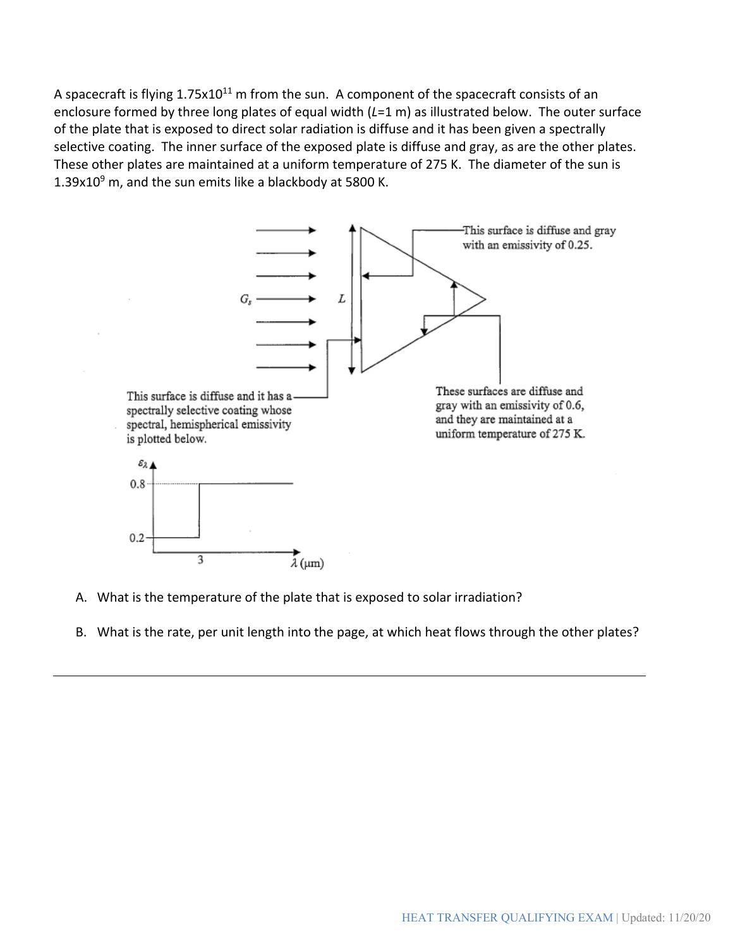A spacecraft is flying 1.75x10<sup>11</sup> m from the sun. A component of the spacecraft consists of an enclosure formed by three long plates of equal width (*L*=1 m) as illustrated below. The outer surface of the plate that is exposed to direct solar radiation is diffuse and it has been given a spectrally selective coating. The inner surface of the exposed plate is diffuse and gray, as are the other plates. These other plates are maintained at a uniform temperature of 275 K. The diameter of the sun is 1.39x10 $9$  m, and the sun emits like a blackbody at 5800 K.



- A. What is the temperature of the plate that is exposed to solar irradiation?
- B. What is the rate, per unit length into the page, at which heat flows through the other plates?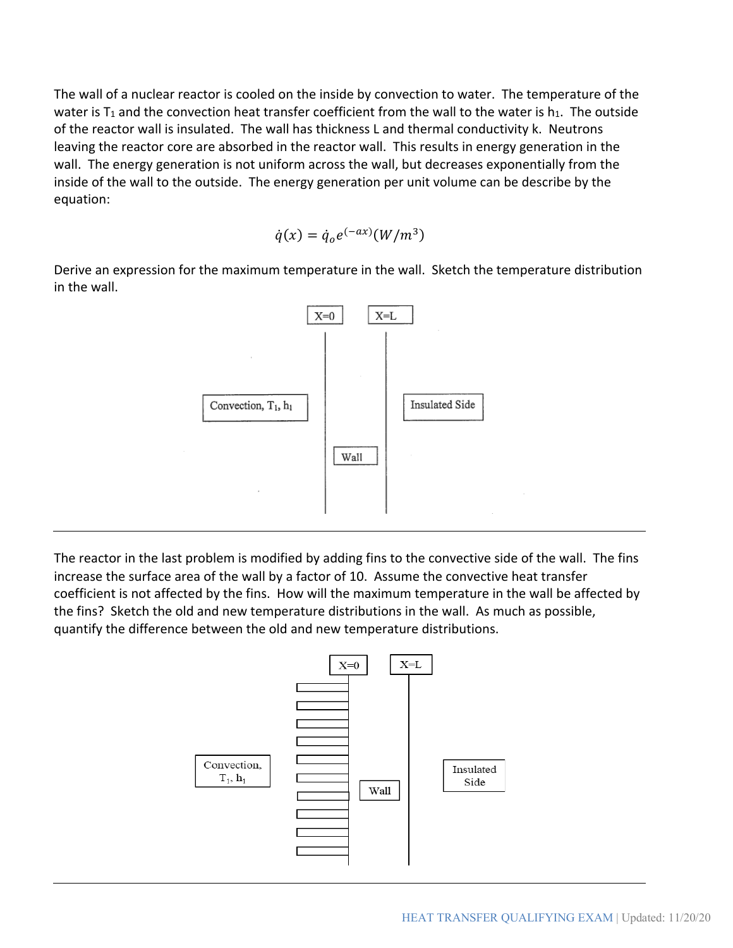The wall of a nuclear reactor is cooled on the inside by convection to water. The temperature of the water is  $T_1$  and the convection heat transfer coefficient from the wall to the water is  $h_1$ . The outside of the reactor wall is insulated. The wall has thickness L and thermal conductivity k. Neutrons leaving the reactor core are absorbed in the reactor wall. This results in energy generation in the wall. The energy generation is not uniform across the wall, but decreases exponentially from the inside of the wall to the outside. The energy generation per unit volume can be describe by the equation:

$$
\dot{q}(x) = \dot{q}_o e^{(-ax)} (W/m^3)
$$

Derive an expression for the maximum temperature in the wall. Sketch the temperature distribution in the wall.



The reactor in the last problem is modified by adding fins to the convective side of the wall. The fins increase the surface area of the wall by a factor of 10. Assume the convective heat transfer coefficient is not affected by the fins. How will the maximum temperature in the wall be affected by the fins? Sketch the old and new temperature distributions in the wall. As much as possible, quantify the difference between the old and new temperature distributions.

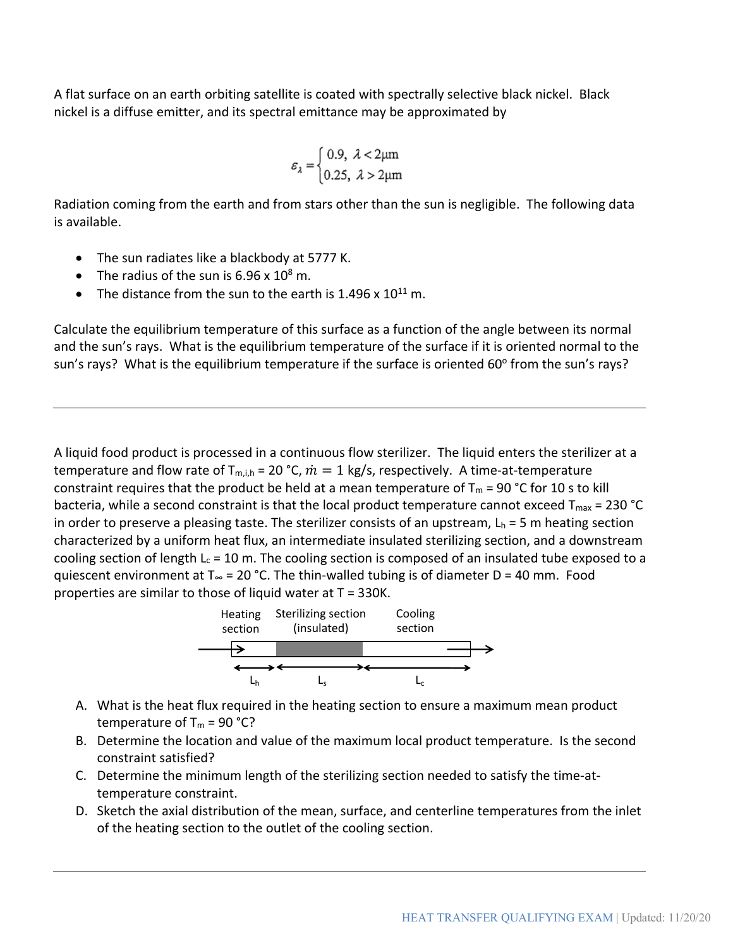A flat surface on an earth orbiting satellite is coated with spectrally selective black nickel. Black nickel is a diffuse emitter, and its spectral emittance may be approximated by

$$
\varepsilon_{\lambda} = \begin{cases} 0.9, \ \lambda < 2\mu \text{m} \\ 0.25, \ \lambda > 2\mu \text{m} \end{cases}
$$

Radiation coming from the earth and from stars other than the sun is negligible. The following data is available.

- The sun radiates like a blackbody at 5777 K.
- The radius of the sun is  $6.96 \times 10^8$  m.
- The distance from the sun to the earth is 1.496 x  $10^{11}$  m.

Calculate the equilibrium temperature of this surface as a function of the angle between its normal and the sun's rays. What is the equilibrium temperature of the surface if it is oriented normal to the sun's rays? What is the equilibrium temperature if the surface is oriented 60° from the sun's rays?

A liquid food product is processed in a continuous flow sterilizer. The liquid enters the sterilizer at a temperature and flow rate of  $T_{\text{m},i,h} = 20 \degree C$ ,  $\dot{m} = 1 \mathrm{kg/s}$ , respectively. A time-at-temperature constraint requires that the product be held at a mean temperature of  $T_m = 90$  °C for 10 s to kill bacteria, while a second constraint is that the local product temperature cannot exceed  $T_{max}$  = 230 °C in order to preserve a pleasing taste. The sterilizer consists of an upstream,  $L_h = 5$  m heating section characterized by a uniform heat flux, an intermediate insulated sterilizing section, and a downstream cooling section of length  $L_c = 10$  m. The cooling section is composed of an insulated tube exposed to a quiescent environment at T $_{\infty}$  = 20 °C. The thin-walled tubing is of diameter D = 40 mm. Food properties are similar to those of liquid water at T = 330K.



- A. What is the heat flux required in the heating section to ensure a maximum mean product temperature of  $T_m = 90 °C$ ?
- B. Determine the location and value of the maximum local product temperature. Is the second constraint satisfied?
- C. Determine the minimum length of the sterilizing section needed to satisfy the time-attemperature constraint.
- D. Sketch the axial distribution of the mean, surface, and centerline temperatures from the inlet of the heating section to the outlet of the cooling section.